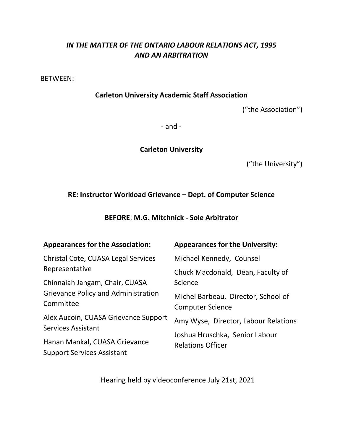# *IN THE MATTER OF THE ONTARIO LABOUR RELATIONS ACT, 1995 AND AN ARBITRATION*

BETWEEN:

**Carleton University Academic Staff Association**

("the Association")

- and -

**Carleton University**

("the University")

# **RE: Instructor Workload Grievance – Dept. of Computer Science**

**BEFORE**: **M.G. Mitchnick - Sole Arbitrator**

| <b>Appearances for the Association:</b>                            | <b>Appearances for the University:</b>                         |
|--------------------------------------------------------------------|----------------------------------------------------------------|
| Christal Cote, CUASA Legal Services                                | Michael Kennedy, Counsel                                       |
| Representative                                                     | Chuck Macdonald, Dean, Faculty of                              |
| Chinnaiah Jangam, Chair, CUASA                                     | Science                                                        |
| Grievance Policy and Administration<br>Committee                   | Michel Barbeau, Director, School of<br><b>Computer Science</b> |
| Alex Aucoin, CUASA Grievance Support<br><b>Services Assistant</b>  | Amy Wyse, Director, Labour Relations                           |
| Hanan Mankal, CUASA Grievance<br><b>Support Services Assistant</b> | Joshua Hruschka, Senior Labour<br><b>Relations Officer</b>     |

Hearing held by videoconference July 21st, 2021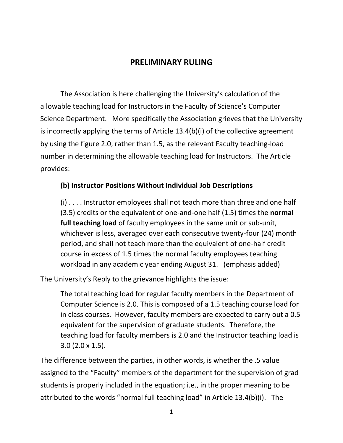# **PRELIMINARY RULING**

The Association is here challenging the University's calculation of the allowable teaching load for Instructors in the Faculty of Science's Computer Science Department. More specifically the Association grieves that the University is incorrectly applying the terms of Article 13.4(b)(i) of the collective agreement by using the figure 2.0, rather than 1.5, as the relevant Faculty teaching-load number in determining the allowable teaching load for Instructors. The Article provides:

### **(b) Instructor Positions Without Individual Job Descriptions**

(i) . . . . Instructor employees shall not teach more than three and one half (3.5) credits or the equivalent of one-and-one half (1.5) times the **normal full teaching load** of faculty employees in the same unit or sub-unit, whichever is less, averaged over each consecutive twenty-four (24) month period, and shall not teach more than the equivalent of one-half credit course in excess of 1.5 times the normal faculty employees teaching workload in any academic year ending August 31. (emphasis added)

The University's Reply to the grievance highlights the issue:

The total teaching load for regular faculty members in the Department of Computer Science is 2.0. This is composed of a 1.5 teaching course load for in class courses. However, faculty members are expected to carry out a 0.5 equivalent for the supervision of graduate students. Therefore, the teaching load for faculty members is 2.0 and the Instructor teaching load is 3.0 (2.0 x 1.5).

The difference between the parties, in other words, is whether the .5 value assigned to the "Faculty" members of the department for the supervision of grad students is properly included in the equation; i.e., in the proper meaning to be attributed to the words "normal full teaching load" in Article 13.4(b)(i). The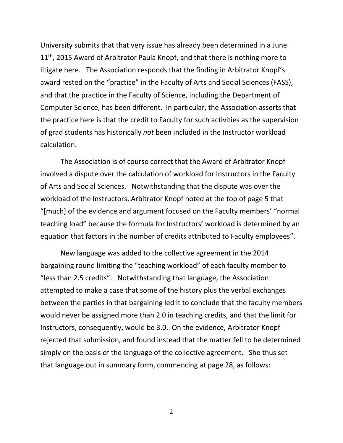University submits that that very issue has already been determined in a June  $11<sup>th</sup>$ , 2015 Award of Arbitrator Paula Knopf, and that there is nothing more to litigate here. The Association responds that the finding in Arbitrator Knopf's award rested on the "practice" in the Faculty of Arts and Social Sciences (FASS), and that the practice in the Faculty of Science, including the Department of Computer Science, has been different. In particular, the Association asserts that the practice here is that the credit to Faculty for such activities as the supervision of grad students has historically *not* been included in the Instructor workload calculation.

The Association is of course correct that the Award of Arbitrator Knopf involved a dispute over the calculation of workload for Instructors in the Faculty of Arts and Social Sciences. Notwithstanding that the dispute was over the workload of the Instructors, Arbitrator Knopf noted at the top of page 5 that "[much] of the evidence and argument focused on the Faculty members' "normal teaching load" because the formula for Instructors' workload is determined by an equation that factors in the number of credits attributed to Faculty employees".

New language was added to the collective agreement in the 2014 bargaining round limiting the "teaching workload" of each faculty member to "less than 2.5 credits". Notwithstanding that language, the Association attempted to make a case that some of the history plus the verbal exchanges between the parties in that bargaining led it to conclude that the faculty members would never be assigned more than 2.0 in teaching credits, and that the limit for Instructors, consequently, would be 3.0. On the evidence, Arbitrator Knopf rejected that submission, and found instead that the matter fell to be determined simply on the basis of the language of the collective agreement. She thus set that language out in summary form, commencing at page 28, as follows:

2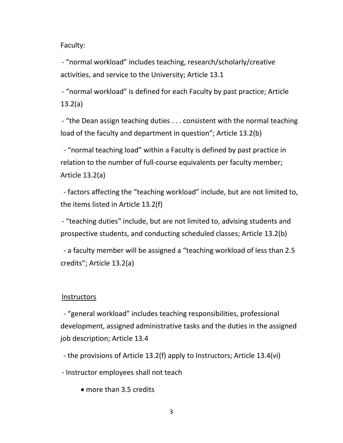Faculty:

- "normal workload" includes teaching, research/scholarly/creative activities, and service to the University; Article 13.1

- "normal workload" is defined for each Faculty by past practice; Article 13.2(a)

- "the Dean assign teaching duties . . . consistent with the normal teaching load of the faculty and department in question"; Article 13.2(b)

- "normal teaching load" within a Faculty is defined by past practice in relation to the number of full-course equivalents per faculty member; Article 13.2(a)

- factors affecting the "teaching workload" include, but are not limited to, the items listed in Article 13.2(f)

- "teaching duties" include, but are not limited to, advising students and prospective students, and conducting scheduled classes; Article 13.2(b)

- a faculty member will be assigned a "teaching workload of less than 2.5 credits"; Article 13.2(a)

### **Instructors**

- "general workload" includes teaching responsibilities, professional development, assigned administrative tasks and the duties in the assigned job description; Article 13.4

- the provisions of Article 13.2(f) apply to Instructors; Article 13.4(vi)

- Instructor employees shall not teach

• more than 3.5 credits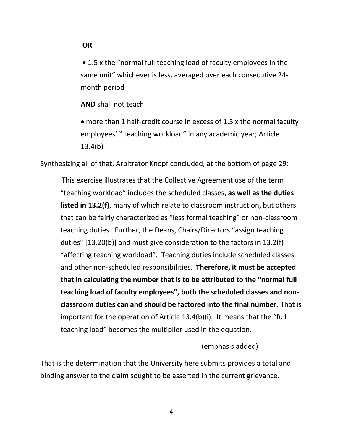**OR** 

• 1.5 x the "normal full teaching load of faculty employees in the same unit" whichever is less, averaged over each consecutive 24 month period

**AND** shall not teach

• more than 1 half-credit course in excess of 1.5 x the normal faculty employees' " teaching workload" in any academic year; Article 13.4(b)

Synthesizing all of that, Arbitrator Knopf concluded, at the bottom of page 29:

This exercise illustrates that the Collective Agreement use of the term "teaching workload" includes the scheduled classes, **as well as the duties listed in 13.2(f)**, many of which relate to classroom instruction, but others that can be fairly characterized as "less formal teaching" or non-classroom teaching duties. Further, the Deans, Chairs/Directors "assign teaching duties" [13.20(b)] and must give consideration to the factors in 13.2(f) "affecting teaching workload". Teaching duties include scheduled classes and other non-scheduled responsibilities. **Therefore, it must be accepted that in calculating the number that is to be attributed to the "normal full teaching load of faculty employees", both the scheduled classes and nonclassroom duties can and should be factored into the final number.** That is important for the operation of Article 13.4(b)(i). It means that the "full teaching load" becomes the multiplier used in the equation.

(emphasis added)

That is the determination that the University here submits provides a total and binding answer to the claim sought to be asserted in the current grievance.

4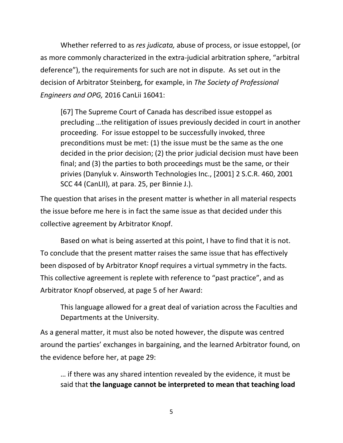Whether referred to as *res judicata,* abuse of process, or issue estoppel, (or as more commonly characterized in the extra-judicial arbitration sphere, "arbitral deference"), the requirements for such are not in dispute. As set out in the decision of Arbitrator Steinberg, for example, in *The Society of Professional Engineers and OPG,* 2016 CanLii 16041:

[67] The Supreme Court of Canada has described issue estoppel as precluding …the relitigation of issues previously decided in court in another proceeding. For issue estoppel to be successfully invoked, three preconditions must be met: (1) the issue must be the same as the one decided in the prior decision; (2) the prior judicial decision must have been final; and (3) the parties to both proceedings must be the same, or their privies (Danyluk v. Ainsworth Technologies Inc., [2001] 2 S.C.R. 460, 2001 SCC 44 (CanLII), at para. 25, per Binnie J.).

The question that arises in the present matter is whether in all material respects the issue before me here is in fact the same issue as that decided under this collective agreement by Arbitrator Knopf.

Based on what is being asserted at this point, I have to find that it is not. To conclude that the present matter raises the same issue that has effectively been disposed of by Arbitrator Knopf requires a virtual symmetry in the facts. This collective agreement is replete with reference to "past practice", and as Arbitrator Knopf observed, at page 5 of her Award:

This language allowed for a great deal of variation across the Faculties and Departments at the University.

As a general matter, it must also be noted however, the dispute was centred around the parties' exchanges in bargaining, and the learned Arbitrator found, on the evidence before her, at page 29:

… if there was any shared intention revealed by the evidence, it must be said that **the language cannot be interpreted to mean that teaching load**